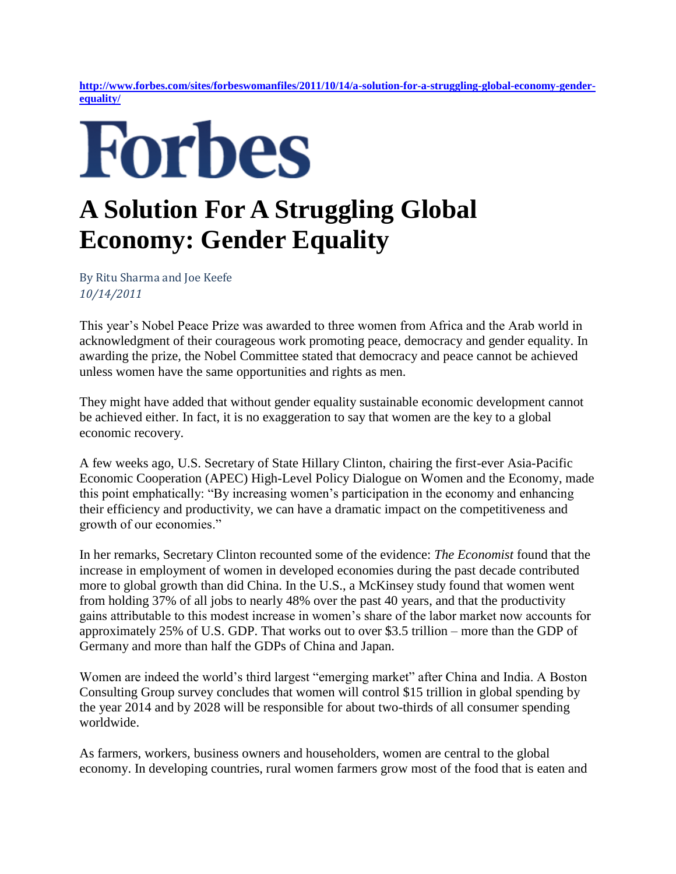**[http://www.forbes.com/sites/forbeswomanfiles/2011/10/14/a-solution-for-a-struggling-global-economy-gender](http://www.forbes.com/sites/forbeswomanfiles/2011/10/14/a-solution-for-a-struggling-global-economy-gender-equality/)[equality/](http://www.forbes.com/sites/forbeswomanfiles/2011/10/14/a-solution-for-a-struggling-global-economy-gender-equality/)**

## Forbes

## **A Solution For A Struggling Global Economy: Gender Equality**

By Ritu Sharma and Joe Keefe *10/14/2011* 

This year's Nobel Peace Prize was awarded to three women from Africa and the Arab world in acknowledgment of their courageous work promoting peace, democracy and gender equality. In awarding the prize, the Nobel Committee stated that democracy and peace cannot be achieved unless women have the same opportunities and rights as men.

They might have added that without gender equality sustainable economic development cannot be achieved either. In fact, it is no exaggeration to say that women are the key to a global economic recovery.

A few weeks ago, U.S. Secretary of State Hillary Clinton, chairing the first-ever Asia-Pacific Economic Cooperation (APEC) High-Level Policy Dialogue on Women and the Economy, made this point emphatically: "By increasing women's participation in the economy and enhancing their efficiency and productivity, we can have a dramatic impact on the competitiveness and growth of our economies."

In her remarks, Secretary Clinton recounted some of the evidence: *The Economist* found that the increase in employment of women in developed economies during the past decade contributed more to global growth than did China. In the U.S., a McKinsey study found that women went from holding 37% of all jobs to nearly 48% over the past 40 years, and that the productivity gains attributable to this modest increase in women's share of the labor market now accounts for approximately 25% of U.S. GDP. That works out to over \$3.5 trillion – more than the GDP of Germany and more than half the GDPs of China and Japan.

Women are indeed the world's third largest "emerging market" after China and India. A Boston Consulting Group survey concludes that women will control \$15 trillion in global spending by the year 2014 and by 2028 will be responsible for about two-thirds of all consumer spending worldwide.

As farmers, workers, business owners and householders, women are central to the global economy. In developing countries, rural women farmers grow most of the food that is eaten and